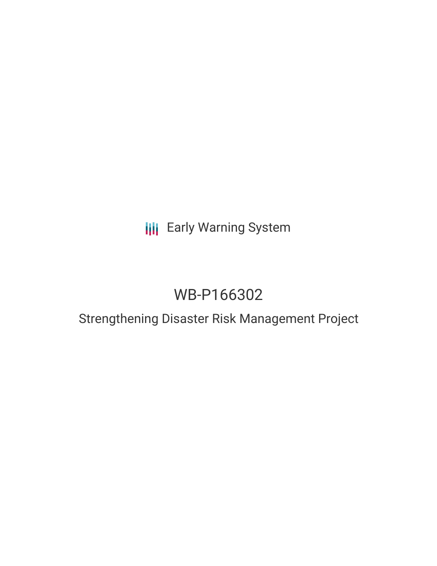## **III** Early Warning System

# WB-P166302

### Strengthening Disaster Risk Management Project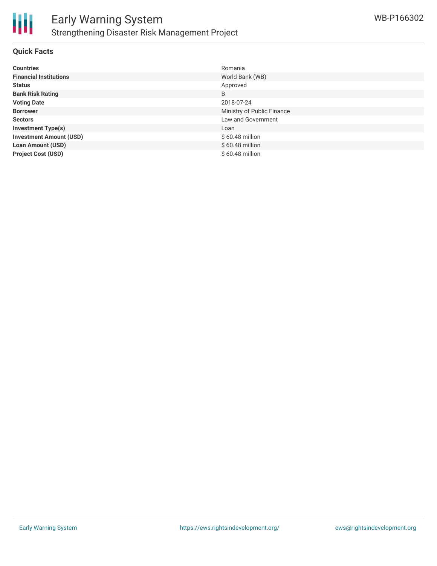

#### **Quick Facts**

| <b>Countries</b>               | Romania                    |
|--------------------------------|----------------------------|
| <b>Financial Institutions</b>  | World Bank (WB)            |
| <b>Status</b>                  | Approved                   |
| <b>Bank Risk Rating</b>        | B                          |
| <b>Voting Date</b>             | 2018-07-24                 |
| <b>Borrower</b>                | Ministry of Public Finance |
| <b>Sectors</b>                 | Law and Government         |
| <b>Investment Type(s)</b>      | Loan                       |
| <b>Investment Amount (USD)</b> | $$60.48$ million           |
| <b>Loan Amount (USD)</b>       | $$60.48$ million           |
| <b>Project Cost (USD)</b>      | $$60.48$ million           |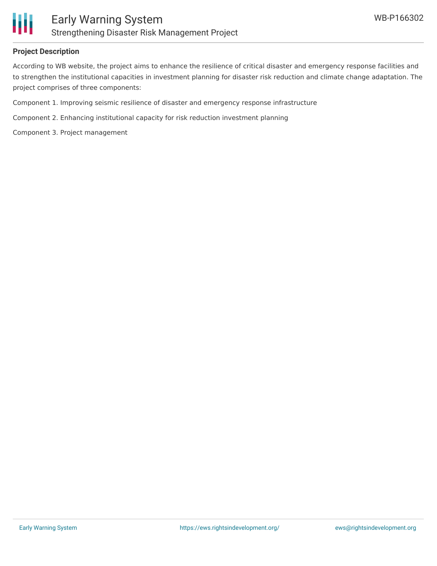

#### **Project Description**

According to WB website, the project aims to enhance the resilience of critical disaster and emergency response facilities and to strengthen the institutional capacities in investment planning for disaster risk reduction and climate change adaptation. The project comprises of three components:

Component 1. Improving seismic resilience of disaster and emergency response infrastructure

Component 2. Enhancing institutional capacity for risk reduction investment planning

Component 3. Project management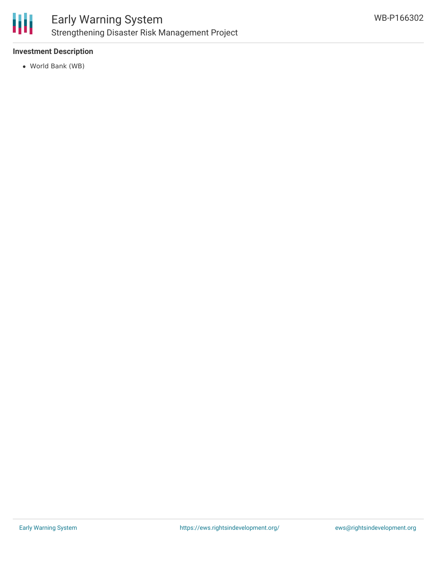

### **Investment Description**

World Bank (WB)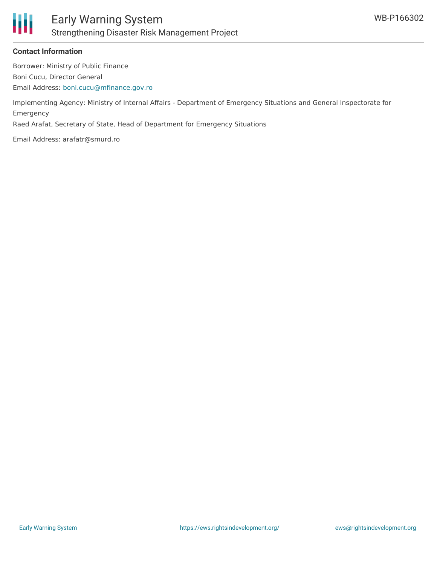

#### **Contact Information**

Borrower: Ministry of Public Finance Boni Cucu, Director General Email Address: [boni.cucu@mfinance.gov.ro](mailto:boni.cucu@mfinance.gov.ro)

Implementing Agency: Ministry of Internal Affairs - Department of Emergency Situations and General Inspectorate for Emergency

Raed Arafat, Secretary of State, Head of Department for Emergency Situations

Email Address: arafatr@smurd.ro